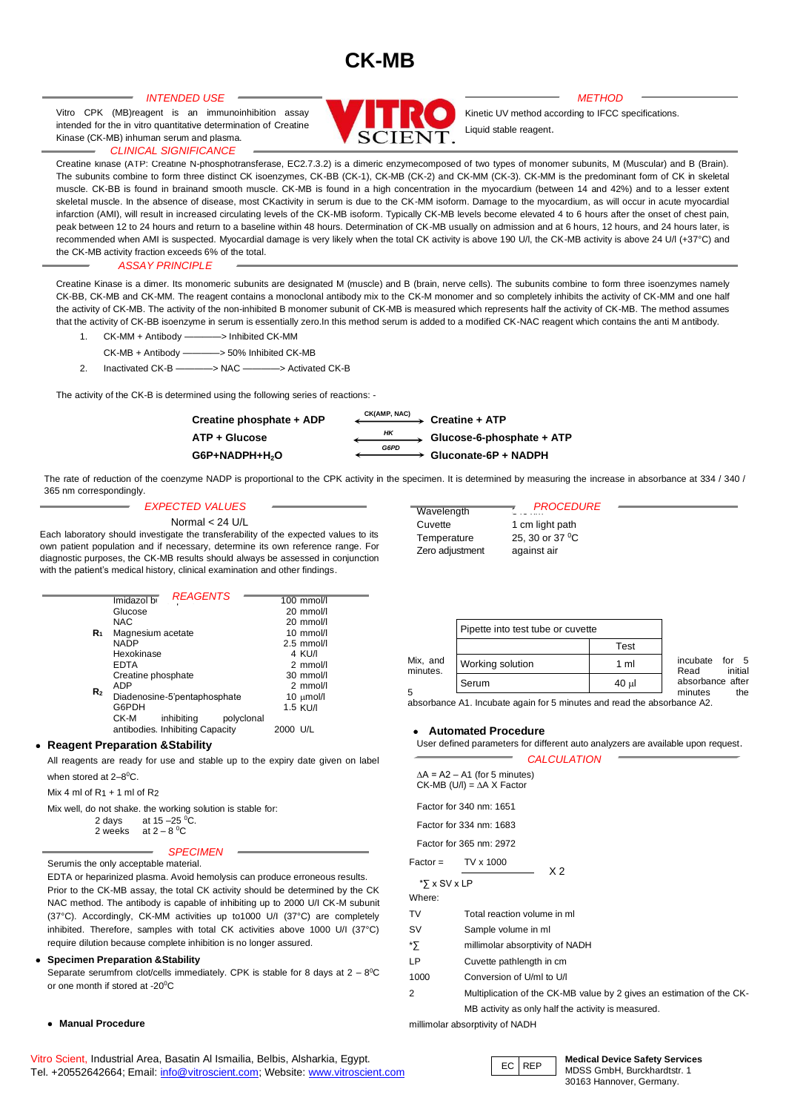# **CK-MB**

Vitro CPK (MB)reagent is an immunoinhibition assay intended for the in vitro quantitative determination of Creatine Kinase (CK-MB) inhuman serum and plasma.

#### *CLINICAL SIGNIFICANCE*

*INTENDED USE METHOD*

Kinetic UV method according to IFCC specifications. Liquid stable reagent.

Creatine kinase (ATP: Creatine N-phosphotransferase, EC2.7.3.2) is a dimeric enzymecomposed of two types of monomer subunits, M (Muscular) and B (Brain). The subunits combine to form three distinct CK isoenzymes, CK-BB (CK-1), CK-MB (CK-2) and CK-MM (CK-3). CK-MM is the predominant form of CK in skeletal *SIGNIFICANCE* muscle. CK-BB is found in brainand smooth muscle. CK-MB is found in a high concentration in the myocardium (between 14 and 42%) and to a lesser extent *CLINICAL*  skeletal muscle. In the absence of disease, most CKactivity in serum is due to the CK-MM isoform. Damage to the myocardium, as will occur in acute myocardial in the absence of disease, most CKactivity in serum is due to th infarction (AMI), will result in increased circulating levels of the CK-MB isoform. Typically CK-MB levels become elevated 4 to 6 hours after the onset of chest pain, peak between 12 to 24 hours and return to a baseline within 48 hours. Determination of CK-MB usually on admission and at 6 hours, 12 hours, and 24 hours later, is recommended when AMI is suspected. Myocardial damage is very likely when the total CK activity is above 190 U/l, the CK-MB activity is above 24 U/l (+37°C) and the CK-MB activity fraction exceeds 6% of the total.

#### *ASSAY PRINCIPLE*

Creatine Kinase is a dimer. Its monomeric subunits are designated M (muscle) and B (brain, nerve cells). The subunits combine to form three isoenzymes namely CK-BB, CK-MB and CK-MM. The reagent contains a monoclonal antibody mix to the CK-M monomer and so completely inhibits the activity of CK-MM and one half the activity of CK-MB. The activity of the non-inhibited B monomer subunit of CK-MB is measured which represents half the activity of CK-MB. The method assumes that the activity of CK-BB isoenzyme in serum is essentially zero.In this method serum is added to a modified CK-NAC reagent which contains the anti M antibody.

- 1. CK-MM + Antibody ————> Inhibited CK-MM
- CK-MB + Antibody ————> 50% Inhibited CK-MB
- 2. Inactivated CK-B ————> NAC ————> Activated CK-B

The activity of the CK-B is determined using the following series of reactions: -



The rate of reduction of the coenzyme NADP is proportional to the CPK activity in the specimen. It is determined by measuring the increase in absorbance at 334 / 340 / 365 nm correspondingly.

#### *EXPECTED VALUES*

#### Normal < 24 U/L

Each laboratory should investigate the transferability of the expected values to its own patient population and if necessary, determine its own reference range. For diagnostic purposes, the CK-MB results should always be assessed in conjunction with the patient's medical history, clinical examination and other findings.

|                | Imidazol bL REAGENTS             | 100 mmol/l          |
|----------------|----------------------------------|---------------------|
| R <sub>1</sub> | Glucose                          | 20 mmol/l           |
|                | <b>NAC</b>                       | 20 mmol/l           |
|                | Magnesium acetate                | $10 \text{ mmol/l}$ |
|                | <b>NADP</b>                      | $2.5$ mmol/l        |
|                | Hexokinase                       | 4 KU/I              |
| R <sub>2</sub> | <b>EDTA</b>                      | $2$ mmol/l          |
|                | Creatine phosphate               | 30 mmol/l           |
|                | <b>ADP</b>                       | 2 mmol/l            |
|                | Diadenosine-5'pentaphosphate     | 10 $\mu$ mol/l      |
|                | G6PDH                            | 1.5 KU/I            |
|                | CK-M<br>inhibiting<br>polyclonal |                     |
|                | antibodies. Inhibiting Capacity  | 2000 U/L            |

#### • **Reagent Preparation &Stability**

All reagents are ready for use and stable up to the expiry date given on label when stored at 2-8<sup>o</sup>C.

Mix 4 ml of  $R_1$  + 1 ml of  $R_2$ 

Mix well, do not shake. the working solution is stable for:

2 days at 15 –25 <sup>0</sup>C. 2 weeks at  $2 - 8$ <sup>0</sup>C

#### *SPECIMEN*

Serumis the only acceptable material.

EDTA or heparinized plasma. Avoid hemolysis can produce erroneous results. Prior to the CK-MB assay, the total CK activity should be determined by the CK NAC method. The antibody is capable of inhibiting up to 2000 U/I CK-M subunit (37°C). Accordingly, CK-MM activities up to1000 U/I (37°C) are completely inhibited. Therefore, samples with total CK activities above 1000 U/I (37°C) require dilution because complete inhibition is no longer assured.

#### • **Specimen Preparation &Stability**

Separate serumfrom clot/cells immediately. CPK is stable for 8 days at  $2 - 8$ <sup>o</sup>C or one month if stored at -20<sup>°</sup>C

#### • **Manual Procedure**

Vitro Scient, Industrial Area, Basatin Al Ismailia, Belbis, Alsharkia, Egypt. Tel. +20552642664; Email[: info@vitroscient.com;](mailto:info@vitroscient.com) Website[: www.vitroscient.com](http://www.vitroscient.com/)

| Wavelength      | <b>PROCEDURE</b><br>. |
|-----------------|-----------------------|
| Cuvette         | 1 cm light path       |
| Temperature     | 25, 30 or 37 °C       |
| Zero adjustment | against air           |

|                      | Pipette into test tube or cuvette |                |                                        |
|----------------------|-----------------------------------|----------------|----------------------------------------|
|                      |                                   | Test           |                                        |
| Mix, and<br>minutes. | Working solution                  | $1 \text{ ml}$ | incubate<br>for $5$<br>initial<br>Read |
| 5                    | Serum                             | 40 ul          | absorbance after<br>minutes<br>the     |
|                      |                                   |                |                                        |

absorbance A1. Incubate again for 5 minutes and read the absorbance A2.

#### • **Automated Procedure**

User defined parameters for different auto analyzers are available upon request. *CALCULATION*

|                  | $\Delta A = A2 - A1$ (for 5 minutes)<br>$CK-MB$ (U/I) = $\Delta A$ X Factor |  |  |
|------------------|-----------------------------------------------------------------------------|--|--|
|                  | Factor for 340 nm: 1651                                                     |  |  |
|                  | Factor for 334 nm: 1683                                                     |  |  |
|                  | Factor for 365 nm: 2972                                                     |  |  |
| $Factor =$       | TV x 1000<br>X 2                                                            |  |  |
| $*\xi$ x SV x LP |                                                                             |  |  |
| Where:           |                                                                             |  |  |
| TV               | Total reaction volume in ml                                                 |  |  |
| sv               | Sample volume in ml                                                         |  |  |
| *Σ               | millimolar absorptivity of NADH                                             |  |  |
| LP               | Cuvette pathlength in cm                                                    |  |  |
| 1000             | Conversion of U/ml to U/I                                                   |  |  |
| 2                | Multiplication of the CK-MB value by 2 gives an e                           |  |  |
|                  | MB activity as only half the activity is measured.                          |  |  |

millimolar absorptivity of NADH



EC REP **Medical Device Safety Services** MDSS GmbH, Burckhardtstr. 1 30163 Hannover, Germany.

stimation of the CK-